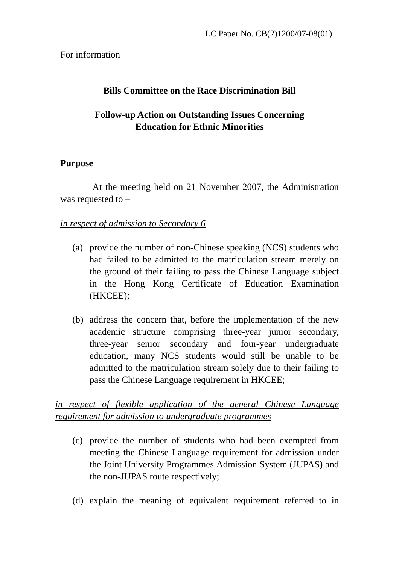#### For information

### **Bills Committee on the Race Discrimination Bill**

# **Follow-up Action on Outstanding Issues Concerning Education for Ethnic Minorities**

### **Purpose**

At the meeting held on 21 November 2007, the Administration was requested to –

### *in respect of admission to Secondary 6*

- (a) provide the number of non-Chinese speaking (NCS) students who had failed to be admitted to the matriculation stream merely on the ground of their failing to pass the Chinese Language subject in the Hong Kong Certificate of Education Examination (HKCEE);
- (b) address the concern that, before the implementation of the new academic structure comprising three-year junior secondary, three-year senior secondary and four-year undergraduate education, many NCS students would still be unable to be admitted to the matriculation stream solely due to their failing to pass the Chinese Language requirement in HKCEE;

*in respect of flexible application of the general Chinese Language requirement for admission to undergraduate programmes*

- (c) provide the number of students who had been exempted from meeting the Chinese Language requirement for admission under the Joint University Programmes Admission System (JUPAS) and the non-JUPAS route respectively;
- (d) explain the meaning of equivalent requirement referred to in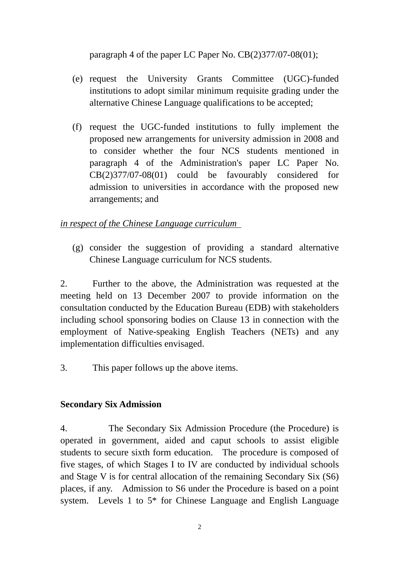paragraph 4 of the paper LC Paper No. CB(2)377/07-08(01);

- (e) request the University Grants Committee (UGC)-funded institutions to adopt similar minimum requisite grading under the alternative Chinese Language qualifications to be accepted;
- (f) request the UGC-funded institutions to fully implement the proposed new arrangements for university admission in 2008 and to consider whether the four NCS students mentioned in paragraph 4 of the Administration's paper LC Paper No. CB(2)377/07-08(01) could be favourably considered for admission to universities in accordance with the proposed new arrangements; and

## *in respect of the Chinese Language curriculum*

(g) consider the suggestion of providing a standard alternative Chinese Language curriculum for NCS students.

2. Further to the above, the Administration was requested at the meeting held on 13 December 2007 to provide information on the consultation conducted by the Education Bureau (EDB) with stakeholders including school sponsoring bodies on Clause 13 in connection with the employment of Native-speaking English Teachers (NETs) and any implementation difficulties envisaged.

3. This paper follows up the above items.

### **Secondary Six Admission**

4. The Secondary Six Admission Procedure (the Procedure) is operated in government, aided and caput schools to assist eligible students to secure sixth form education. The procedure is composed of five stages, of which Stages I to IV are conducted by individual schools and Stage V is for central allocation of the remaining Secondary Six (S6) places, if any. Admission to S6 under the Procedure is based on a point system. Levels 1 to 5\* for Chinese Language and English Language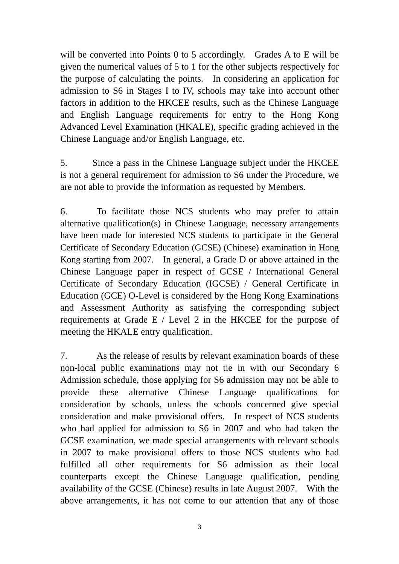will be converted into Points 0 to 5 accordingly. Grades A to E will be given the numerical values of 5 to 1 for the other subjects respectively for the purpose of calculating the points. In considering an application for admission to S6 in Stages I to IV, schools may take into account other factors in addition to the HKCEE results, such as the Chinese Language and English Language requirements for entry to the Hong Kong Advanced Level Examination (HKALE), specific grading achieved in the Chinese Language and/or English Language, etc.

5. Since a pass in the Chinese Language subject under the HKCEE is not a general requirement for admission to S6 under the Procedure, we are not able to provide the information as requested by Members.

6. To facilitate those NCS students who may prefer to attain alternative qualification(s) in Chinese Language, necessary arrangements have been made for interested NCS students to participate in the General Certificate of Secondary Education (GCSE) (Chinese) examination in Hong Kong starting from 2007. In general, a Grade D or above attained in the Chinese Language paper in respect of GCSE / International General Certificate of Secondary Education (IGCSE) / General Certificate in Education (GCE) O-Level is considered by the Hong Kong Examinations and Assessment Authority as satisfying the corresponding subject requirements at Grade E / Level 2 in the HKCEE for the purpose of meeting the HKALE entry qualification.

7. As the release of results by relevant examination boards of these non-local public examinations may not tie in with our Secondary 6 Admission schedule, those applying for S6 admission may not be able to provide these alternative Chinese Language qualifications for consideration by schools, unless the schools concerned give special consideration and make provisional offers. In respect of NCS students who had applied for admission to S6 in 2007 and who had taken the GCSE examination, we made special arrangements with relevant schools in 2007 to make provisional offers to those NCS students who had fulfilled all other requirements for S6 admission as their local counterparts except the Chinese Language qualification, pending availability of the GCSE (Chinese) results in late August 2007. With the above arrangements, it has not come to our attention that any of those

3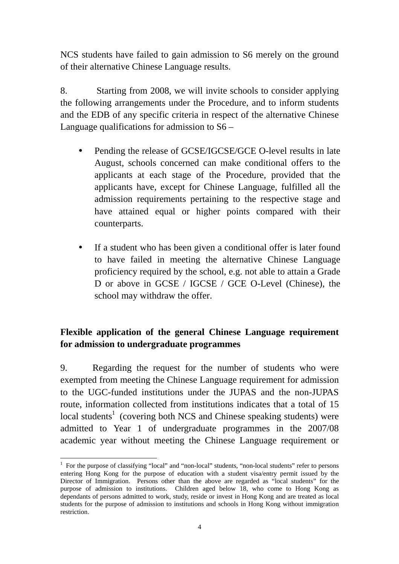NCS students have failed to gain admission to S6 merely on the ground of their alternative Chinese Language results.

8. Starting from 2008, we will invite schools to consider applying the following arrangements under the Procedure, and to inform students and the EDB of any specific criteria in respect of the alternative Chinese Language qualifications for admission to S6 –

- Pending the release of GCSE/IGCSE/GCE O-level results in late August, schools concerned can make conditional offers to the applicants at each stage of the Procedure, provided that the applicants have, except for Chinese Language, fulfilled all the admission requirements pertaining to the respective stage and have attained equal or higher points compared with their counterparts.
- If a student who has been given a conditional offer is later found to have failed in meeting the alternative Chinese Language proficiency required by the school, e.g. not able to attain a Grade D or above in GCSE / IGCSE / GCE O-Level (Chinese), the school may withdraw the offer.

# **Flexible application of the general Chinese Language requirement for admission to undergraduate programmes**

9. Regarding the request for the number of students who were exempted from meeting the Chinese Language requirement for admission to the UGC-funded institutions under the JUPAS and the non-JUPAS route, information collected from institutions indicates that a total of 15 local students<sup>1</sup> (covering both NCS and Chinese speaking students) were admitted to Year 1 of undergraduate programmes in the 2007/08 academic year without meeting the Chinese Language requirement or

 $\overline{a}$ <sup>1</sup> For the purpose of classifying "local" and "non-local" students, "non-local students" refer to persons entering Hong Kong for the purpose of education with a student visa/entry permit issued by the Director of Immigration. Persons other than the above are regarded as "local students" for the purpose of admission to institutions. Children aged below 18, who come to Hong Kong as dependants of persons admitted to work, study, reside or invest in Hong Kong and are treated as local students for the purpose of admission to institutions and schools in Hong Kong without immigration restriction.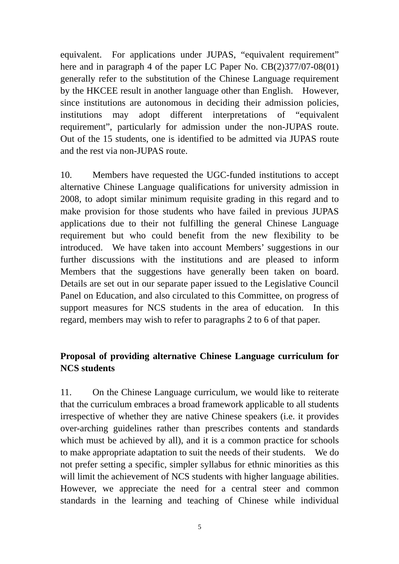equivalent. For applications under JUPAS, "equivalent requirement" here and in paragraph 4 of the paper LC Paper No. CB(2)377/07-08(01) generally refer to the substitution of the Chinese Language requirement by the HKCEE result in another language other than English. However, since institutions are autonomous in deciding their admission policies, institutions may adopt different interpretations of "equivalent requirement", particularly for admission under the non-JUPAS route. Out of the 15 students, one is identified to be admitted via JUPAS route and the rest via non-JUPAS route.

10. Members have requested the UGC-funded institutions to accept alternative Chinese Language qualifications for university admission in 2008, to adopt similar minimum requisite grading in this regard and to make provision for those students who have failed in previous JUPAS applications due to their not fulfilling the general Chinese Language requirement but who could benefit from the new flexibility to be introduced. We have taken into account Members' suggestions in our further discussions with the institutions and are pleased to inform Members that the suggestions have generally been taken on board. Details are set out in our separate paper issued to the Legislative Council Panel on Education, and also circulated to this Committee, on progress of support measures for NCS students in the area of education. In this regard, members may wish to refer to paragraphs 2 to 6 of that paper.

# **Proposal of providing alternative Chinese Language curriculum for NCS students**

11. On the Chinese Language curriculum, we would like to reiterate that the curriculum embraces a broad framework applicable to all students irrespective of whether they are native Chinese speakers (i.e. it provides over-arching guidelines rather than prescribes contents and standards which must be achieved by all), and it is a common practice for schools to make appropriate adaptation to suit the needs of their students. We do not prefer setting a specific, simpler syllabus for ethnic minorities as this will limit the achievement of NCS students with higher language abilities. However, we appreciate the need for a central steer and common standards in the learning and teaching of Chinese while individual